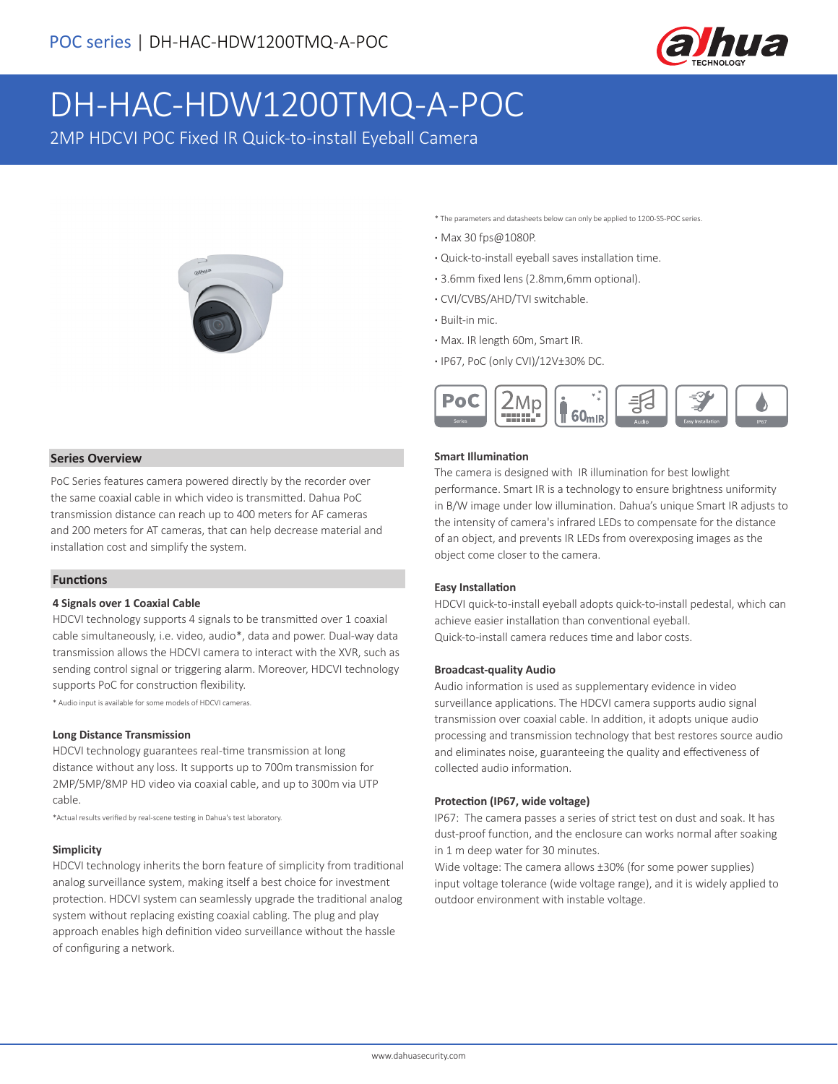

# DH-HAC-HDW1200TMQ-A-POC

2MP HDCVI POC Fixed IR Quick-to-install Eyeball Camera



\* The parameters and datasheets below can only be applied to 1200-S5-POC series.

- **·** Max 30 fps@1080P.
- **·** Quick-to-install eyeball saves installation time.
- **·** 3.6mm fixed lens (2.8mm,6mm optional).
- **·** CVI/CVBS/AHD/TVI switchable.
- **·** Built-in mic.
- **·** Max. IR length 60m, Smart IR.
- **·** IP67, PoC (only CVI)/12V±30% DC.



#### **Smart Illumination**

The camera is designed with IR illumination for best lowlight performance. Smart IR is a technology to ensure brightness uniformity in B/W image under low illumination. Dahua's unique Smart IR adjusts to the intensity of camera's infrared LEDs to compensate for the distance of an object, and prevents IR LEDs from overexposing images as the object come closer to the camera.

#### **Easy Installation**

HDCVI quick-to-install eyeball adopts quick-to-install pedestal, which can achieve easier installation than conventional eyeball. Quick-to-install camera reduces time and labor costs.

#### **Broadcast-quality Audio**

Audio information is used as supplementary evidence in video surveillance applications. The HDCVI camera supports audio signal transmission over coaxial cable. In addition, it adopts unique audio processing and transmission technology that best restores source audio and eliminates noise, guaranteeing the quality and effectiveness of collected audio information.

#### **Protection (IP67, wide voltage)**

IP67: The camera passes a series of strict test on dust and soak. It has dust-proof function, and the enclosure can works normal after soaking in 1 m deep water for 30 minutes.

Wide voltage: The camera allows ±30% (for some power supplies) input voltage tolerance (wide voltage range), and it is widely applied to outdoor environment with instable voltage.

#### **Series Overview**

PoC Series features camera powered directly by the recorder over the same coaxial cable in which video is transmitted. Dahua PoC transmission distance can reach up to 400 meters for AF cameras and 200 meters for AT cameras, that can help decrease material and installation cost and simplify the system.

#### **Functions**

#### **4 Signals over 1 Coaxial Cable**

HDCVI technology supports 4 signals to be transmitted over 1 coaxial cable simultaneously, i.e. video, audio\*, data and power. Dual-way data transmission allows the HDCVI camera to interact with the XVR, such as sending control signal or triggering alarm. Moreover, HDCVI technology supports PoC for construction flexibility.

\* Audio input is available for some models of HDCVI cameras.

#### **Long Distance Transmission**

HDCVI technology guarantees real-time transmission at long distance without any loss. It supports up to 700m transmission for 2MP/5MP/8MP HD video via coaxial cable, and up to 300m via UTP cable.

\*Actual results verified by real-scene testing in Dahua's test laboratory.

#### **Simplicity**

HDCVI technology inherits the born feature of simplicity from traditional analog surveillance system, making itself a best choice for investment protection. HDCVI system can seamlessly upgrade the traditional analog system without replacing existing coaxial cabling. The plug and play approach enables high definition video surveillance without the hassle of configuring a network.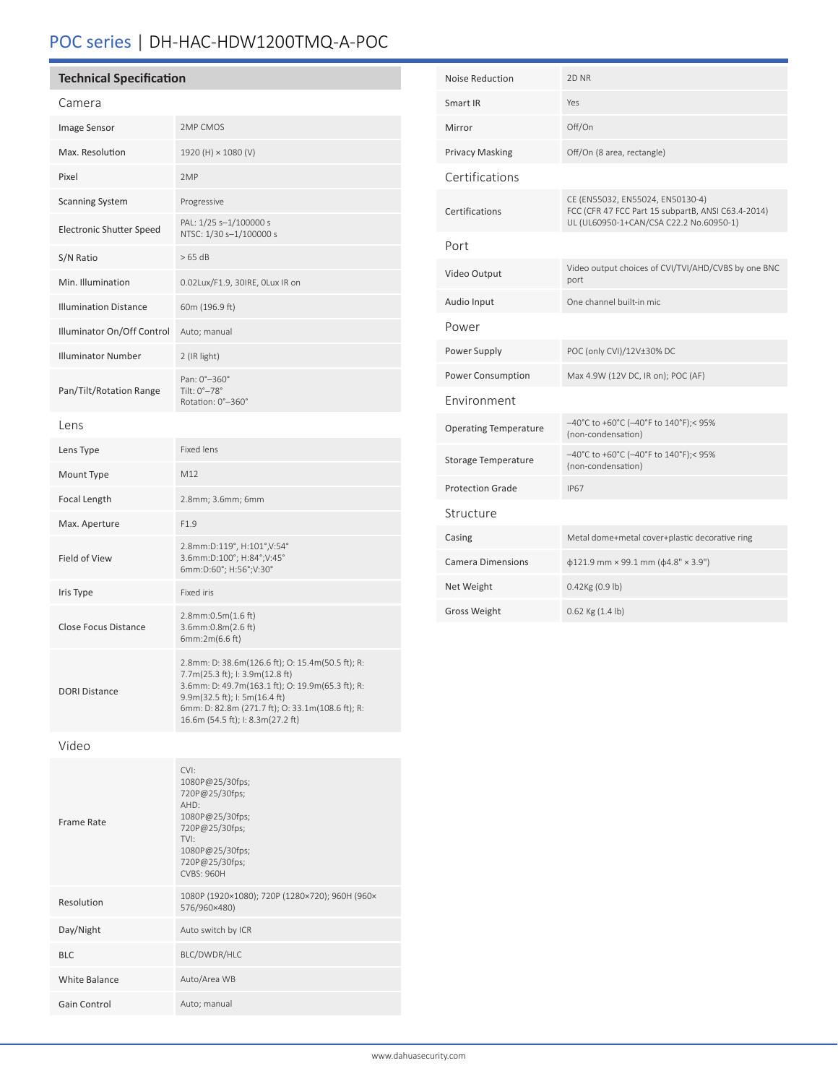# POC series | DH-HAC-HDW1200TMQ-A-POC

| <b>Technical Specification</b>  |                                                                                                                                                                                                                                                                   |  | Noise Reduction              | 2D <sub>NR</sub>                                                                       |  |
|---------------------------------|-------------------------------------------------------------------------------------------------------------------------------------------------------------------------------------------------------------------------------------------------------------------|--|------------------------------|----------------------------------------------------------------------------------------|--|
| Camera                          |                                                                                                                                                                                                                                                                   |  | Smart IR                     | Yes                                                                                    |  |
| Image Sensor                    | 2MP CMOS                                                                                                                                                                                                                                                          |  | Mirror                       | Off/On                                                                                 |  |
| Max. Resolution                 | 1920 (H) × 1080 (V)                                                                                                                                                                                                                                               |  | <b>Privacy Masking</b>       | Off/On (8 area, rectangle)                                                             |  |
| Pixel                           | 2MP                                                                                                                                                                                                                                                               |  | Certifications               |                                                                                        |  |
| <b>Scanning System</b>          | Progressive                                                                                                                                                                                                                                                       |  | Certifications               | CE (EN55032, EN55024, EN50130-4)<br>FCC (CFR 47 FCC Part 15 subpartB, ANSI C63.4-2014) |  |
| <b>Electronic Shutter Speed</b> | PAL: 1/25 s-1/100000 s<br>NTSC: 1/30 s-1/100000 s                                                                                                                                                                                                                 |  |                              | UL (UL60950-1+CAN/CSA C22.2 No.60950-1)                                                |  |
| S/N Ratio                       | >65 dB                                                                                                                                                                                                                                                            |  | Port                         |                                                                                        |  |
| Min. Illumination               | 0.02Lux/F1.9, 30IRE, OLux IR on                                                                                                                                                                                                                                   |  | Video Output                 | Video output choices of CVI/TVI/AHD/CVBS by one BNC<br>port                            |  |
| <b>Illumination Distance</b>    | 60m (196.9 ft)                                                                                                                                                                                                                                                    |  | Audio Input                  | One channel built-in mic                                                               |  |
| Illuminator On/Off Control      | Auto; manual                                                                                                                                                                                                                                                      |  | Power                        |                                                                                        |  |
| <b>Illuminator Number</b>       | 2 (IR light)                                                                                                                                                                                                                                                      |  | Power Supply                 | POC (only CVI)/12V±30% DC                                                              |  |
|                                 | Pan: 0°-360°                                                                                                                                                                                                                                                      |  | Power Consumption            | Max 4.9W (12V DC, IR on); POC (AF)                                                     |  |
| Pan/Tilt/Rotation Range         | Tilt: 0°-78°<br>Rotation: 0°-360°                                                                                                                                                                                                                                 |  | Environment                  |                                                                                        |  |
| Lens                            |                                                                                                                                                                                                                                                                   |  | <b>Operating Temperature</b> | -40°C to +60°C (-40°F to 140°F);< 95%<br>(non-condensation)                            |  |
| Lens Type                       | Fixed lens                                                                                                                                                                                                                                                        |  | <b>Storage Temperature</b>   | -40°C to +60°C (-40°F to 140°F);< 95%<br>(non-condensation)                            |  |
| Mount Type                      | M12                                                                                                                                                                                                                                                               |  | <b>Protection Grade</b>      | <b>IP67</b>                                                                            |  |
| Focal Length                    | 2.8mm; 3.6mm; 6mm                                                                                                                                                                                                                                                 |  | Structure                    |                                                                                        |  |
| Max. Aperture                   | F1.9                                                                                                                                                                                                                                                              |  | Casing                       | Metal dome+metal cover+plastic decorative ring                                         |  |
| Field of View                   | 2.8mm:D:119°, H:101°,V:54°<br>3.6mm:D:100°; H:84°; V:45°<br>6mm:D:60°; H:56°;V:30°                                                                                                                                                                                |  | <b>Camera Dimensions</b>     | $\phi$ 121.9 mm × 99.1 mm ( $\phi$ 4.8" × 3.9")                                        |  |
| Iris Type                       | Fixed iris                                                                                                                                                                                                                                                        |  | Net Weight                   | $0.42$ Kg $(0.9$ lb)                                                                   |  |
| <b>Close Focus Distance</b>     | $2.8$ mm:0.5m $(1.6$ ft)<br>3.6mm:0.8m(2.6 ft)<br>6mm:2m(6.6 ft)                                                                                                                                                                                                  |  | Gross Weight                 | $0.62$ Kg $(1.4 \text{ lb})$                                                           |  |
| <b>DORI Distance</b>            | 2.8mm: D: 38.6m(126.6 ft); O: 15.4m(50.5 ft); R:<br>7.7m(25.3 ft); l: 3.9m(12.8 ft)<br>3.6mm: D: 49.7m(163.1 ft); O: 19.9m(65.3 ft); R:<br>9.9m(32.5 ft); I: 5m(16.4 ft)<br>6mm: D: 82.8m (271.7 ft); O: 33.1m(108.6 ft); R:<br>16.6m (54.5 ft); I: 8.3m(27.2 ft) |  |                              |                                                                                        |  |
| Video                           |                                                                                                                                                                                                                                                                   |  |                              |                                                                                        |  |
| Frame Rate                      | CVI:<br>1080P@25/30fps;<br>720P@25/30fps;<br>AHD:<br>1080P@25/30fps;<br>720P@25/30fps;<br>TVI:<br>1080P@25/30fps;<br>720P@25/30fps;<br>CVBS: 960H                                                                                                                 |  |                              |                                                                                        |  |
| Resolution                      | 1080P (1920×1080); 720P (1280×720); 960H (960×<br>576/960×480)                                                                                                                                                                                                    |  |                              |                                                                                        |  |
| Day/Night                       | Auto switch by ICR                                                                                                                                                                                                                                                |  |                              |                                                                                        |  |
| BLC                             | BLC/DWDR/HLC                                                                                                                                                                                                                                                      |  |                              |                                                                                        |  |
| White Balance                   | Auto/Area WB                                                                                                                                                                                                                                                      |  |                              |                                                                                        |  |
| Gain Control                    | Auto; manual                                                                                                                                                                                                                                                      |  |                              |                                                                                        |  |